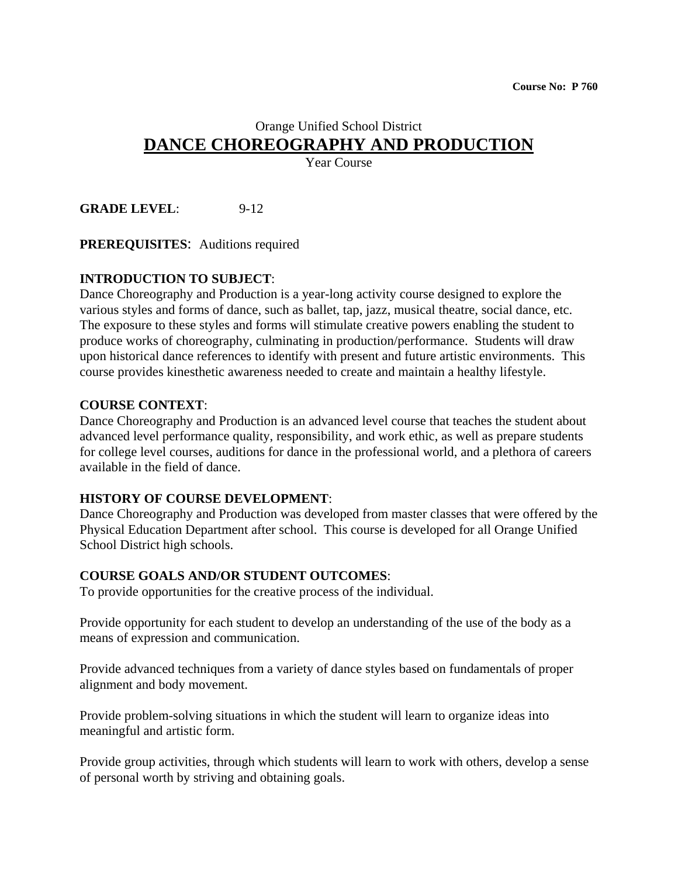## Orange Unified School District **DANCE CHOREOGRAPHY AND PRODUCTION**

Year Course

**GRADE LEVEL**: 9-12

**PREREQUISITES**: Auditions required

#### **INTRODUCTION TO SUBJECT**:

Dance Choreography and Production is a year-long activity course designed to explore the various styles and forms of dance, such as ballet, tap, jazz, musical theatre, social dance, etc. The exposure to these styles and forms will stimulate creative powers enabling the student to produce works of choreography, culminating in production/performance. Students will draw upon historical dance references to identify with present and future artistic environments. This course provides kinesthetic awareness needed to create and maintain a healthy lifestyle.

#### **COURSE CONTEXT**:

Dance Choreography and Production is an advanced level course that teaches the student about advanced level performance quality, responsibility, and work ethic, as well as prepare students for college level courses, auditions for dance in the professional world, and a plethora of careers available in the field of dance.

#### **HISTORY OF COURSE DEVELOPMENT**:

Dance Choreography and Production was developed from master classes that were offered by the Physical Education Department after school. This course is developed for all Orange Unified School District high schools.

#### **COURSE GOALS AND/OR STUDENT OUTCOMES**:

To provide opportunities for the creative process of the individual.

Provide opportunity for each student to develop an understanding of the use of the body as a means of expression and communication.

Provide advanced techniques from a variety of dance styles based on fundamentals of proper alignment and body movement.

Provide problem-solving situations in which the student will learn to organize ideas into meaningful and artistic form.

Provide group activities, through which students will learn to work with others, develop a sense of personal worth by striving and obtaining goals.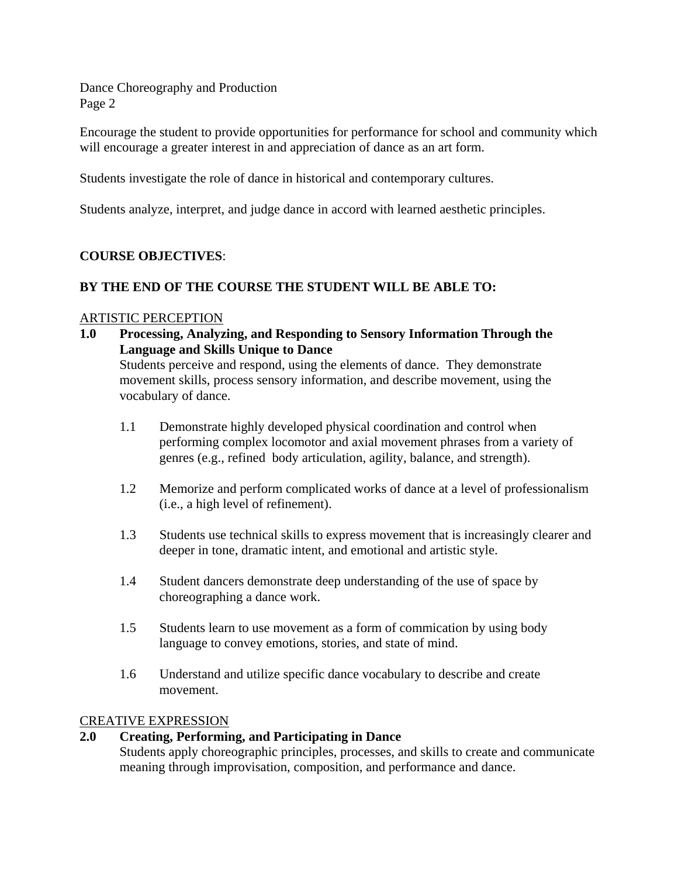Encourage the student to provide opportunities for performance for school and community which will encourage a greater interest in and appreciation of dance as an art form.

Students investigate the role of dance in historical and contemporary cultures.

Students analyze, interpret, and judge dance in accord with learned aesthetic principles.

#### **COURSE OBJECTIVES**:

#### **BY THE END OF THE COURSE THE STUDENT WILL BE ABLE TO:**

#### ARTISTIC PERCEPTION

**1.0 Processing, Analyzing, and Responding to Sensory Information Through the Language and Skills Unique to Dance**

Students perceive and respond, using the elements of dance. They demonstrate movement skills, process sensory information, and describe movement, using the vocabulary of dance.

- 1.1 Demonstrate highly developed physical coordination and control when performing complex locomotor and axial movement phrases from a variety of genres (e.g., refined body articulation, agility, balance, and strength).
- 1.2 Memorize and perform complicated works of dance at a level of professionalism (i.e., a high level of refinement).
- 1.3 Students use technical skills to express movement that is increasingly clearer and deeper in tone, dramatic intent, and emotional and artistic style.
- 1.4 Student dancers demonstrate deep understanding of the use of space by choreographing a dance work.
- 1.5 Students learn to use movement as a form of commication by using body language to convey emotions, stories, and state of mind.
- 1.6 Understand and utilize specific dance vocabulary to describe and create movement.

#### CREATIVE EXPRESSION

#### **2.0 Creating, Performing, and Participating in Dance**

Students apply choreographic principles, processes, and skills to create and communicate meaning through improvisation, composition, and performance and dance.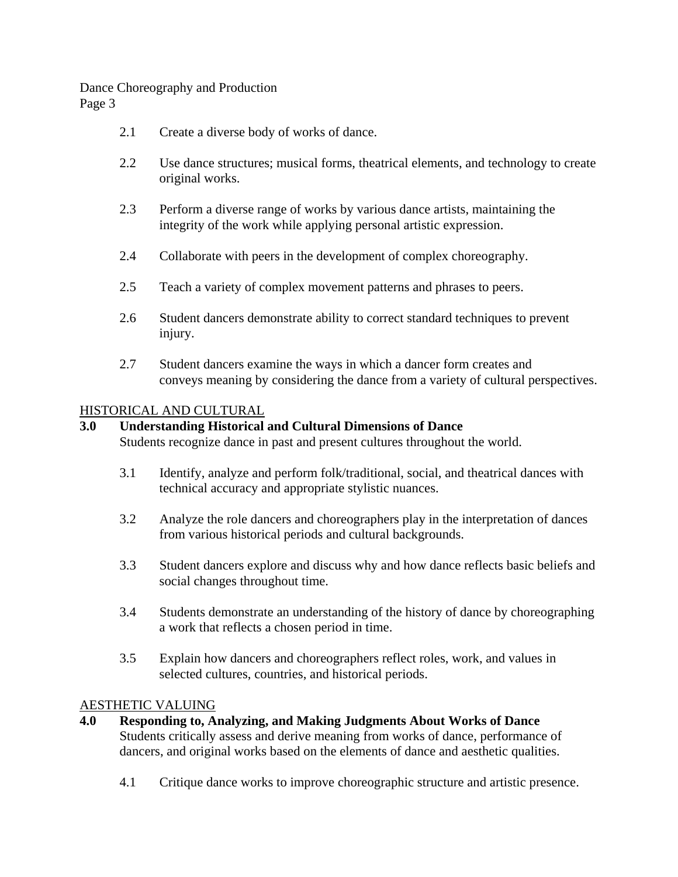- 2.1 Create a diverse body of works of dance.
- 2.2 Use dance structures; musical forms, theatrical elements, and technology to create original works.
- 2.3 Perform a diverse range of works by various dance artists, maintaining the integrity of the work while applying personal artistic expression.
- 2.4 Collaborate with peers in the development of complex choreography.
- 2.5 Teach a variety of complex movement patterns and phrases to peers.
- 2.6 Student dancers demonstrate ability to correct standard techniques to prevent injury.
- 2.7 Student dancers examine the ways in which a dancer form creates and conveys meaning by considering the dance from a variety of cultural perspectives.

#### HISTORICAL AND CULTURAL

#### **3.0 Understanding Historical and Cultural Dimensions of Dance**

Students recognize dance in past and present cultures throughout the world.

- 3.1 Identify, analyze and perform folk/traditional, social, and theatrical dances with technical accuracy and appropriate stylistic nuances.
- 3.2 Analyze the role dancers and choreographers play in the interpretation of dances from various historical periods and cultural backgrounds.
- 3.3 Student dancers explore and discuss why and how dance reflects basic beliefs and social changes throughout time.
- 3.4 Students demonstrate an understanding of the history of dance by choreographing a work that reflects a chosen period in time.
- 3.5 Explain how dancers and choreographers reflect roles, work, and values in selected cultures, countries, and historical periods.

#### AESTHETIC VALUING

- **4.0 Responding to, Analyzing, and Making Judgments About Works of Dance** Students critically assess and derive meaning from works of dance, performance of dancers, and original works based on the elements of dance and aesthetic qualities.
	- 4.1 Critique dance works to improve choreographic structure and artistic presence.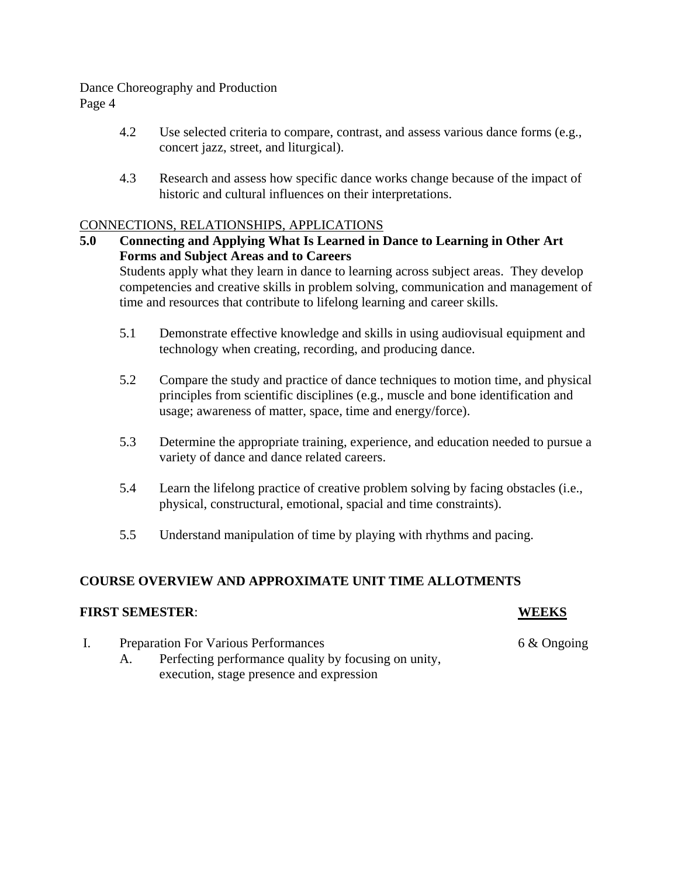Page 4

- 4.2 Use selected criteria to compare, contrast, and assess various dance forms (e.g., concert jazz, street, and liturgical).
- 4.3 Research and assess how specific dance works change because of the impact of historic and cultural influences on their interpretations.

#### CONNECTIONS, RELATIONSHIPS, APPLICATIONS

- **5.0 Connecting and Applying What Is Learned in Dance to Learning in Other Art Forms and Subject Areas and to Careers** Students apply what they learn in dance to learning across subject areas. They develop competencies and creative skills in problem solving, communication and management of time and resources that contribute to lifelong learning and career skills.
	- 5.1 Demonstrate effective knowledge and skills in using audiovisual equipment and technology when creating, recording, and producing dance.
	- 5.2 Compare the study and practice of dance techniques to motion time, and physical principles from scientific disciplines (e.g., muscle and bone identification and usage; awareness of matter, space, time and energy/force).
	- 5.3 Determine the appropriate training, experience, and education needed to pursue a variety of dance and dance related careers.
	- 5.4 Learn the lifelong practice of creative problem solving by facing obstacles (i.e., physical, constructural, emotional, spacial and time constraints).
	- 5.5 Understand manipulation of time by playing with rhythms and pacing.

### **COURSE OVERVIEW AND APPROXIMATE UNIT TIME ALLOTMENTS**

#### **FIRST SEMESTER**: **WEEKS**

 I. Preparation For Various Performances 6 & Ongoing A. Perfecting performance quality by focusing on unity, execution, stage presence and expression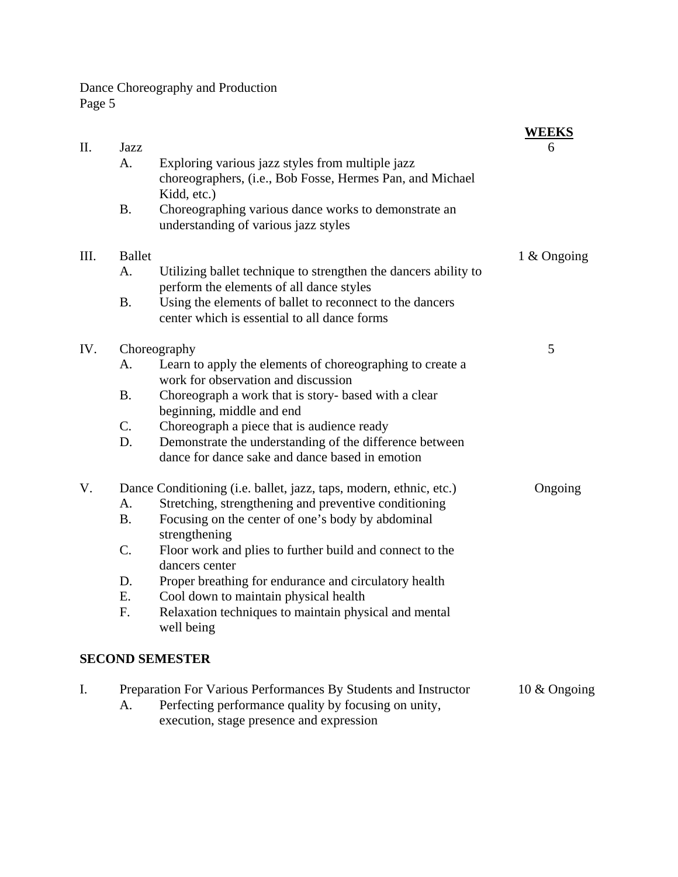|     |                                                                    |                                                                                                          | <b>WEEKS</b> |
|-----|--------------------------------------------------------------------|----------------------------------------------------------------------------------------------------------|--------------|
| П.  | Jazz<br>А.                                                         | Exploring various jazz styles from multiple jazz                                                         | 6            |
|     |                                                                    | choreographers, (i.e., Bob Fosse, Hermes Pan, and Michael                                                |              |
|     |                                                                    | Kidd, etc.)                                                                                              |              |
|     | <b>B.</b>                                                          | Choreographing various dance works to demonstrate an                                                     |              |
|     |                                                                    | understanding of various jazz styles                                                                     |              |
| Ш.  | <b>Ballet</b>                                                      |                                                                                                          | 1 & Ongoing  |
|     | A.                                                                 | Utilizing ballet technique to strengthen the dancers ability to                                          |              |
|     |                                                                    | perform the elements of all dance styles                                                                 |              |
|     | <b>B.</b>                                                          | Using the elements of ballet to reconnect to the dancers<br>center which is essential to all dance forms |              |
|     |                                                                    |                                                                                                          |              |
| IV. | Choreography                                                       |                                                                                                          | 5            |
|     | A.                                                                 | Learn to apply the elements of choreographing to create a                                                |              |
|     |                                                                    | work for observation and discussion                                                                      |              |
|     | <b>B.</b>                                                          | Choreograph a work that is story- based with a clear                                                     |              |
|     |                                                                    | beginning, middle and end                                                                                |              |
|     | C.<br>D.                                                           | Choreograph a piece that is audience ready<br>Demonstrate the understanding of the difference between    |              |
|     |                                                                    | dance for dance sake and dance based in emotion                                                          |              |
| V.  | Dance Conditioning (i.e. ballet, jazz, taps, modern, ethnic, etc.) |                                                                                                          | Ongoing      |
|     | A.                                                                 | Stretching, strengthening and preventive conditioning                                                    |              |
|     | <b>B.</b>                                                          | Focusing on the center of one's body by abdominal                                                        |              |
|     |                                                                    | strengthening                                                                                            |              |
|     | C.                                                                 | Floor work and plies to further build and connect to the                                                 |              |
|     |                                                                    | dancers center                                                                                           |              |
|     | D.                                                                 | Proper breathing for endurance and circulatory health                                                    |              |
|     | Ε.                                                                 | Cool down to maintain physical health                                                                    |              |
|     | F.                                                                 | Relaxation techniques to maintain physical and mental                                                    |              |
|     |                                                                    | well being                                                                                               |              |
|     |                                                                    | <b>SECOND SEMESTER</b>                                                                                   |              |
| I.  | Preparation For Various Performances By Students and Instructor    |                                                                                                          |              |
|     | A.                                                                 | Perfecting performance quality by focusing on unity,                                                     | 10 & Ongoing |
|     |                                                                    | execution, stage presence and expression                                                                 |              |